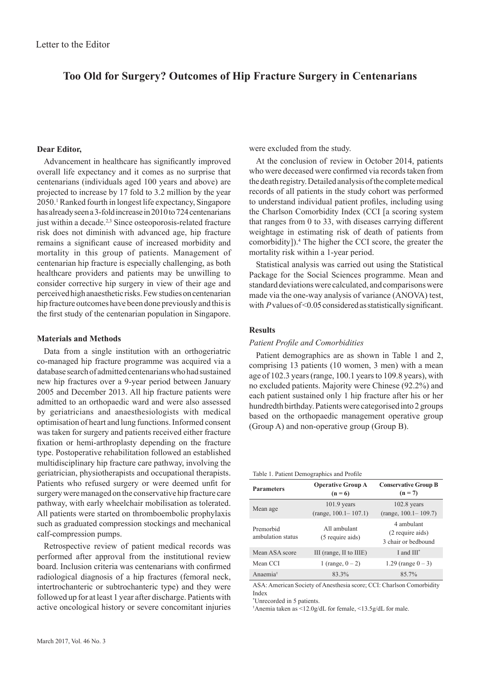# **Too Old for Surgery? Outcomes of Hip Fracture Surgery in Centenarians**

## **Dear Editor,**

Advancement in healthcare has significantly improved overall life expectancy and it comes as no surprise that centenarians (individuals aged 100 years and above) are projected to increase by 17 fold to 3.2 million by the year 2050.1 Ranked fourth in longest life expectancy, Singapore has already seen a 3-fold increase in 2010 to 724 centenarians just within a decade.<sup>2,3</sup> Since osteoporosis-related fracture risk does not diminish with advanced age, hip fracture remains a significant cause of increased morbidity and mortality in this group of patients. Management of centenarian hip fracture is especially challenging, as both healthcare providers and patients may be unwilling to consider corrective hip surgery in view of their age and perceived high anaesthetic risks. Few studies on centenarian hip fracture outcomes have been done previously and this is the first study of the centenarian population in Singapore.

## **Materials and Methods**

Data from a single institution with an orthogeriatric co-managed hip fracture programme was acquired via a database search of admitted centenarians who had sustained new hip fractures over a 9-year period between January 2005 and December 2013. All hip fracture patients were admitted to an orthopaedic ward and were also assessed by geriatricians and anaesthesiologists with medical optimisation of heart and lung functions. Informed consent was taken for surgery and patients received either fracture fixation or hemi-arthroplasty depending on the fracture type. Postoperative rehabilitation followed an established multidisciplinary hip fracture care pathway, involving the geriatrician, physiotherapists and occupational therapists. Patients who refused surgery or were deemed unfit for surgery were managed on the conservative hip fracture care pathway, with early wheelchair mobilisation as tolerated. All patients were started on thromboembolic prophylaxis such as graduated compression stockings and mechanical calf-compression pumps.

Retrospective review of patient medical records was performed after approval from the institutional review board. Inclusion criteria was centenarians with confirmed radiological diagnosis of a hip fractures (femoral neck, intertrochanteric or subtrochanteric type) and they were followed up for at least 1 year after discharge. Patients with active oncological history or severe concomitant injuries were excluded from the study.

At the conclusion of review in October 2014, patients who were deceased were confirmed via records taken from the death registry. Detailed analysis of the complete medical records of all patients in the study cohort was performed to understand individual patient profiles, including using the Charlson Comorbidity Index (CCI [a scoring system that ranges from 0 to 33, with diseases carrying different weightage in estimating risk of death of patients from comorbidity]).4 The higher the CCI score, the greater the mortality risk within a 1-year period.

Statistical analysis was carried out using the Statistical Package for the Social Sciences programme. Mean and standard deviations were calculated, and comparisons were made via the one-way analysis of variance (ANOVA) test, with *P* values of <0.05 considered as statistically significant.

# **Results**

#### *Patient Profile and Comorbidities*

Patient demographics are as shown in Table 1 and 2, comprising 13 patients (10 women, 3 men) with a mean age of 102.3 years (range, 100.1 years to 109.8 years), with no excluded patients. Majority were Chinese (92.2%) and each patient sustained only 1 hip fracture after his or her hundredth birthday. Patients were categorised into 2 groups based on the orthopaedic management operative group (Group A) and non-operative group (Group B).

Table 1. Patient Demographics and Profile

| <b>Parameters</b>              | <b>Operative Group A</b><br>$(n = 6)$     | <b>Conservative Group B</b><br>$(n = 7)$              |
|--------------------------------|-------------------------------------------|-------------------------------------------------------|
| Mean age                       | $101.9$ years<br>$(range, 100.1 - 107.1)$ | $102.8$ years<br>$(range, 100.1 - 109.7)$             |
| Premorbid<br>ambulation status | All ambulant<br>(5 require aids)          | 4 ambulant<br>(2 require aids)<br>3 chair or bedbound |
| Mean ASA score                 | III (range, II to IIIE)                   | I and $III^*$                                         |
| Mean CCI                       | 1 (range, $0 - 2$ )                       | 1.29 (range $0 - 3$ )                                 |
| Anaemia <sup>†</sup>           | 83.3%                                     | 85.7%                                                 |

ASA: American Society of Anesthesia score; CCI: Charlson Comorbidity Index

\* Unrecorded in 5 patients.

† Anemia taken as <12.0g/dL for female, <13.5g/dL for male.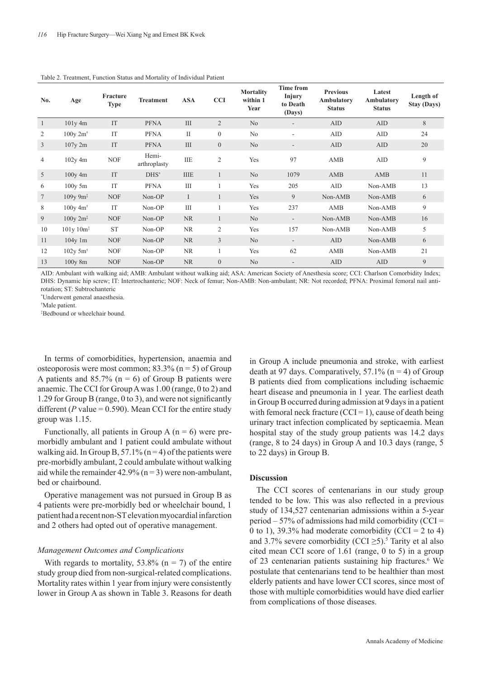| No.          | Age                                       | Fracture<br><b>Type</b> | <b>Treatment</b>      | <b>ASA</b>   | <b>CCI</b>     | <b>Mortality</b><br>within 1<br>Year | <b>Time from</b><br>Injury<br>to Death<br>(Days) | <b>Previous</b><br>Ambulatory<br><b>Status</b> | Latest<br>Ambulatory<br><b>Status</b> | Length of<br><b>Stay (Days)</b> |
|--------------|-------------------------------------------|-------------------------|-----------------------|--------------|----------------|--------------------------------------|--------------------------------------------------|------------------------------------------------|---------------------------------------|---------------------------------|
| $\mathbf{1}$ | $101y$ 4m                                 | IT                      | <b>PFNA</b>           | III          | $\overline{2}$ | N <sub>0</sub>                       | $\overline{\phantom{a}}$                         | <b>AID</b>                                     | AID                                   | 8                               |
| 2            | 100y 2m <sup>†</sup>                      | IT                      | <b>PFNA</b>           | $\mathbf{I}$ | $\mathbf{0}$   | No.                                  | $\overline{\phantom{a}}$                         | AID                                            | AID                                   | 24                              |
| 3            | $107y$ 2m                                 | IT                      | <b>PFNA</b>           | III          | $\overline{0}$ | N <sub>0</sub>                       | $\qquad \qquad \blacksquare$                     | AID                                            | AID                                   | 20                              |
| 4            | $102y$ 4m                                 | <b>NOF</b>              | Hemi-<br>arthroplasty | <b>IIE</b>   | $\overline{c}$ | Yes                                  | 97                                               | AMB                                            | AID                                   | 9                               |
| 5            | $100y$ 4m                                 | IT                      | $DHS^*$               | <b>IIIE</b>  | 1              | N <sub>o</sub>                       | 1079                                             | AMB                                            | AMB                                   | 11                              |
| 6            | $100v$ 5m                                 | IT                      | <b>PFNA</b>           | Ш            | 1              | Yes                                  | 205                                              | AID                                            | Non-AMB                               | 13                              |
| 7            | $109v\,9m^*$                              | <b>NOF</b>              | Non-OP                | $\mathbf I$  | $\mathbf{1}$   | Yes                                  | 9                                                | Non-AMB                                        | Non-AMB                               | 6                               |
| 8            | $100v$ 4m <sup><math>\dagger</math></sup> | IT                      | Non-OP                | III          |                | Yes                                  | 237                                              | AMB                                            | Non-AMB                               | 9                               |
| 9            | $100y 2m$ <sup><math>\ddag</math></sup>   | <b>NOF</b>              | Non-OP                | <b>NR</b>    | $\mathbf{1}$   | N <sub>o</sub>                       | $\overline{\phantom{a}}$                         | Non-AMB                                        | Non-AMB                               | 16                              |
| 10           | $101y 10m^2$                              | <b>ST</b>               | Non-OP                | NR           | 2              | Yes                                  | 157                                              | Non-AMB                                        | Non-AMB                               | 5                               |
| 11           | $104v$ 1m                                 | <b>NOF</b>              | Non-OP                | <b>NR</b>    | 3              | No                                   | $\overline{\phantom{a}}$                         | <b>AID</b>                                     | Non-AMB                               | 6                               |
| 12           | $102y$ 5m <sup><math>\dagger</math></sup> | <b>NOF</b>              | Non-OP                | NR           |                | Yes                                  | 62                                               | AMB                                            | Non-AMB                               | 21                              |
| 13           | 100y 8m                                   | <b>NOF</b>              | Non-OP                | NR.          | $\overline{0}$ | N <sub>0</sub>                       |                                                  | <b>AID</b>                                     | AID                                   | 9                               |

Table 2. Treatment, Function Status and Mortality of Individual Patient

AID: Ambulant with walking aid; AMB: Ambulant without walking aid; ASA: American Society of Anesthesia score; CCI: Charlson Comorbidity Index; DHS: Dynamic hip screw; IT: Intertrochanteric; NOF: Neck of femur; Non-AMB: Non-ambulant; NR: Not recorded; PFNA: Proximal femoral nail antirotation; ST: Subtrochanteric

\* Underwent general anaesthesia.

† Male patient.

‡ Bedbound or wheelchair bound.

In terms of comorbidities, hypertension, anaemia and osteoporosis were most common;  $83.3\%$  (n = 5) of Group A patients and  $85.7\%$  (n = 6) of Group B patients were anaemic. The CCI for Group A was 1.00 (range, 0 to 2) and 1.29 for Group B (range, 0 to 3), and were not significantly different ( $P$  value = 0.590). Mean CCI for the entire study group was 1.15.

Functionally, all patients in Group A  $(n = 6)$  were premorbidly ambulant and 1 patient could ambulate without walking aid. In Group B,  $57.1\%$  (n = 4) of the patients were pre-morbidly ambulant, 2 could ambulate without walking aid while the remainder  $42.9\%$  (n = 3) were non-ambulant, bed or chairbound.

Operative management was not pursued in Group B as 4 patients were pre-morbidly bed or wheelchair bound, 1 patient had a recent non-ST elevation myocardial infarction and 2 others had opted out of operative management.

### *Management Outcomes and Complications*

With regards to mortality,  $53.8\%$  (n = 7) of the entire study group died from non-surgical-related complications. Mortality rates within 1 year from injury were consistently lower in Group A as shown in Table 3. Reasons for death in Group A include pneumonia and stroke, with earliest death at 97 days. Comparatively,  $57.1\%$  (n = 4) of Group B patients died from complications including ischaemic heart disease and pneumonia in 1 year. The earliest death in Group B occurred during admission at 9 days in a patient with femoral neck fracture (CCI = 1), cause of death being urinary tract infection complicated by septicaemia. Mean hospital stay of the study group patients was 14.2 days (range, 8 to 24 days) in Group A and 10.3 days (range, 5 to 22 days) in Group B.

## **Discussion**

The CCI scores of centenarians in our study group tended to be low. This was also reflected in a previous study of 134,527 centenarian admissions within a 5-year period  $-57\%$  of admissions had mild comorbidity (CCI = 0 to 1), 39.3% had moderate comorbidity (CCI = 2 to 4) and 3.7% severe comorbidity (CCI  $\geq$ 5).<sup>5</sup> Tarity et al also cited mean CCI score of 1.61 (range, 0 to 5) in a group of 23 centenarian patients sustaining hip fractures.<sup>6</sup> We postulate that centenarians tend to be healthier than most elderly patients and have lower CCI scores, since most of those with multiple comorbidities would have died earlier from complications of those diseases.